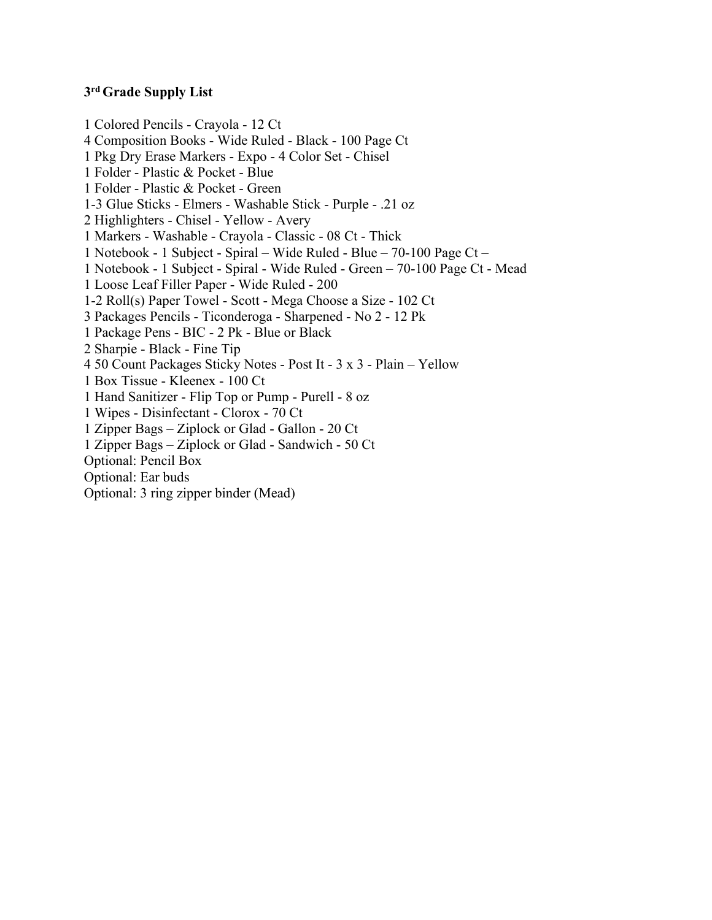## **3rd Grade Supply List**

1 Colored Pencils - Crayola - 12 Ct 4 Composition Books - Wide Ruled - Black - 100 Page Ct 1 Pkg Dry Erase Markers - Expo - 4 Color Set - Chisel 1 Folder - Plastic & Pocket - Blue 1 Folder - Plastic & Pocket - Green 1-3 Glue Sticks - Elmers - Washable Stick - Purple - .21 oz 2 Highlighters - Chisel - Yellow - Avery 1 Markers - Washable - Crayola - Classic - 08 Ct - Thick 1 Notebook - 1 Subject - Spiral – Wide Ruled - Blue – 70-100 Page Ct – 1 Notebook - 1 Subject - Spiral - Wide Ruled - Green – 70-100 Page Ct - Mead 1 Loose Leaf Filler Paper - Wide Ruled - 200 1-2 Roll(s) Paper Towel - Scott - Mega Choose a Size - 102 Ct 3 Packages Pencils - Ticonderoga - Sharpened - No 2 - 12 Pk 1 Package Pens - BIC - 2 Pk - Blue or Black 2 Sharpie - Black - Fine Tip 4 50 Count Packages Sticky Notes - Post It - 3 x 3 - Plain – Yellow 1 Box Tissue - Kleenex - 100 Ct 1 Hand Sanitizer - Flip Top or Pump - Purell - 8 oz 1 Wipes - Disinfectant - Clorox - 70 Ct 1 Zipper Bags – Ziplock or Glad - Gallon - 20 Ct 1 Zipper Bags – Ziplock or Glad - Sandwich - 50 Ct Optional: Pencil Box Optional: Ear buds Optional: 3 ring zipper binder (Mead)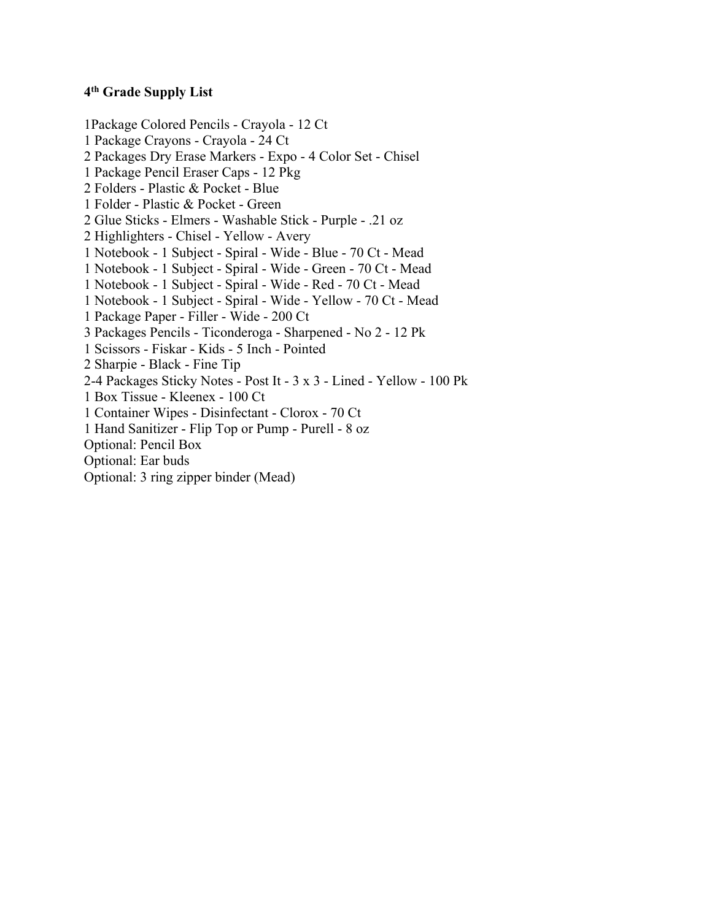## **4th Grade Supply List**

1Package Colored Pencils - Crayola - 12 Ct 1 Package Crayons - Crayola - 24 Ct 2 Packages Dry Erase Markers - Expo - 4 Color Set - Chisel 1 Package Pencil Eraser Caps - 12 Pkg 2 Folders - Plastic & Pocket - Blue 1 Folder - Plastic & Pocket - Green 2 Glue Sticks - Elmers - Washable Stick - Purple - .21 oz 2 Highlighters - Chisel - Yellow - Avery 1 Notebook - 1 Subject - Spiral - Wide - Blue - 70 Ct - Mead 1 Notebook - 1 Subject - Spiral - Wide - Green - 70 Ct - Mead 1 Notebook - 1 Subject - Spiral - Wide - Red - 70 Ct - Mead 1 Notebook - 1 Subject - Spiral - Wide - Yellow - 70 Ct - Mead 1 Package Paper - Filler - Wide - 200 Ct 3 Packages Pencils - Ticonderoga - Sharpened - No 2 - 12 Pk 1 Scissors - Fiskar - Kids - 5 Inch - Pointed 2 Sharpie - Black - Fine Tip 2-4 Packages Sticky Notes - Post It - 3 x 3 - Lined - Yellow - 100 Pk 1 Box Tissue - Kleenex - 100 Ct 1 Container Wipes - Disinfectant - Clorox - 70 Ct 1 Hand Sanitizer - Flip Top or Pump - Purell - 8 oz Optional: Pencil Box Optional: Ear buds Optional: 3 ring zipper binder (Mead)